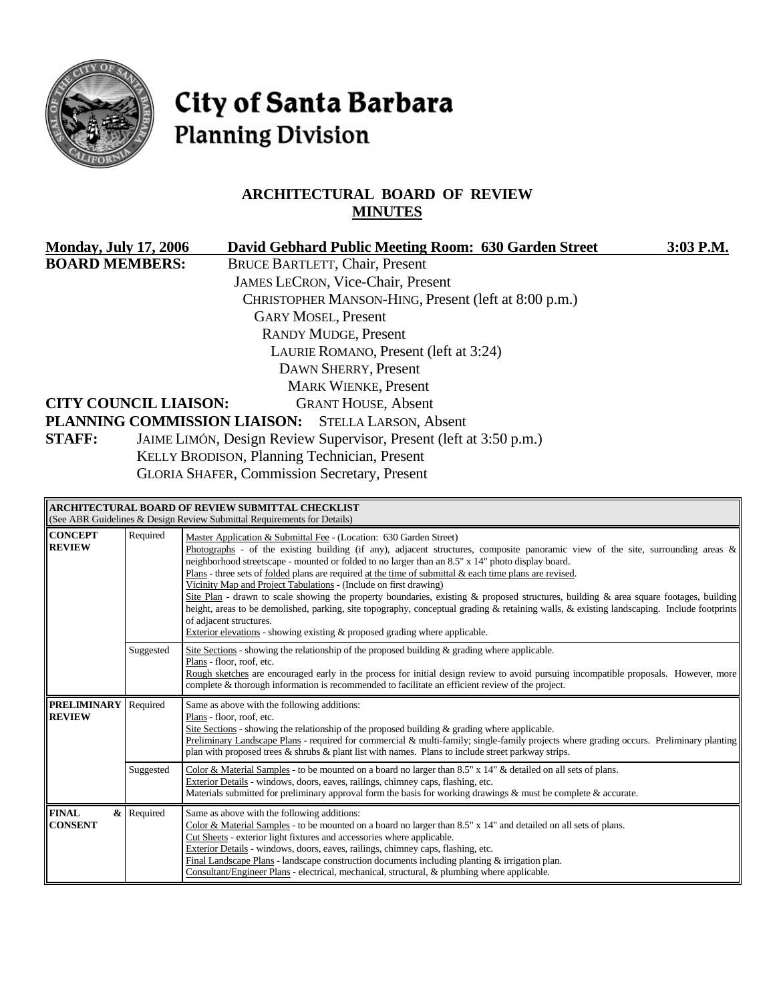

# City of Santa Barbara **Planning Division**

# **ARCHITECTURAL BOARD OF REVIEW MINUTES**

| <b>Monday, July 17, 2006</b> |                                                                                                                            | David Gebhard Public Meeting Room: 630 Garden Street | 3:03 P.M. |
|------------------------------|----------------------------------------------------------------------------------------------------------------------------|------------------------------------------------------|-----------|
| <b>BOARD MEMBERS:</b>        |                                                                                                                            | <b>BRUCE BARTLETT, Chair, Present</b>                |           |
|                              |                                                                                                                            | <b>JAMES LECRON, Vice-Chair, Present</b>             |           |
|                              |                                                                                                                            | CHRISTOPHER MANSON-HING, Present (left at 8:00 p.m.) |           |
|                              |                                                                                                                            | <b>GARY MOSEL, Present</b>                           |           |
|                              |                                                                                                                            | <b>RANDY MUDGE, Present</b>                          |           |
|                              |                                                                                                                            | LAURIE ROMANO, Present (left at 3:24)                |           |
|                              |                                                                                                                            | DAWN SHERRY, Present                                 |           |
|                              |                                                                                                                            | <b>MARK WIENKE, Present</b>                          |           |
|                              | <b>CITY COUNCIL LIAISON:</b>                                                                                               | <b>GRANT HOUSE, Absent</b>                           |           |
|                              | PLANNING COMMISSION LIAISON: STELLA LARSON, Absent                                                                         |                                                      |           |
| <b>STAFF:</b>                | JAIME LIMÓN, Design Review Supervisor, Present (left at 3:50 p.m.)                                                         |                                                      |           |
|                              | KELLY BRODISON, Planning Technician, Present                                                                               |                                                      |           |
|                              | $CY$ $\OmegaY$ , $\OmegaY$ , $\GammaY$ , $\GammaY$ , $\OmegaY$ , $\OmegaY$ , $\OmegaY$ , $\OmegaY$ , $\OmegaY$ , $\OmegaY$ |                                                      |           |

GLORIA SHAFER, Commission Secretary, Present

| ARCHITECTURAL BOARD OF REVIEW SUBMITTAL CHECKLIST<br>(See ABR Guidelines & Design Review Submittal Requirements for Details) |            |                                                                                                                                                                                                                                                                                                                                                                                                                                                                                                                                                                                                                                                                                                                                                                                                                                                                                                   |  |
|------------------------------------------------------------------------------------------------------------------------------|------------|---------------------------------------------------------------------------------------------------------------------------------------------------------------------------------------------------------------------------------------------------------------------------------------------------------------------------------------------------------------------------------------------------------------------------------------------------------------------------------------------------------------------------------------------------------------------------------------------------------------------------------------------------------------------------------------------------------------------------------------------------------------------------------------------------------------------------------------------------------------------------------------------------|--|
| <b>CONCEPT</b><br><b>REVIEW</b>                                                                                              | Required   | Master Application & Submittal Fee - (Location: 630 Garden Street)<br>Photographs - of the existing building (if any), adjacent structures, composite panoramic view of the site, surrounding areas $\&$<br>neighborhood streetscape - mounted or folded to no larger than an 8.5" x 14" photo display board.<br>Plans - three sets of folded plans are required at the time of submittal & each time plans are revised.<br>Vicinity Map and Project Tabulations - (Include on first drawing)<br>Site Plan - drawn to scale showing the property boundaries, existing & proposed structures, building & area square footages, building<br>height, areas to be demolished, parking, site topography, conceptual grading & retaining walls, & existing landscaping. Include footprints<br>of adjacent structures.<br>Exterior elevations - showing existing $\&$ proposed grading where applicable. |  |
|                                                                                                                              | Suggested  | Site Sections - showing the relationship of the proposed building & grading where applicable.<br>Plans - floor, roof, etc.<br>Rough sketches are encouraged early in the process for initial design review to avoid pursuing incompatible proposals. However, more<br>complete & thorough information is recommended to facilitate an efficient review of the project.                                                                                                                                                                                                                                                                                                                                                                                                                                                                                                                            |  |
| <b>PRELIMINARY</b><br><b>REVIEW</b>                                                                                          | Required   | Same as above with the following additions:<br>Plans - floor, roof, etc.<br>Site Sections - showing the relationship of the proposed building $\&$ grading where applicable.<br>Preliminary Landscape Plans - required for commercial & multi-family; single-family projects where grading occurs. Preliminary planting<br>plan with proposed trees $\&$ shrubs $\&$ plant list with names. Plans to include street parkway strips.                                                                                                                                                                                                                                                                                                                                                                                                                                                               |  |
|                                                                                                                              | Suggested  | Color & Material Samples - to be mounted on a board no larger than 8.5" x 14" & detailed on all sets of plans.<br>Exterior Details - windows, doors, eaves, railings, chimney caps, flashing, etc.<br>Materials submitted for preliminary approval form the basis for working drawings & must be complete & accurate.                                                                                                                                                                                                                                                                                                                                                                                                                                                                                                                                                                             |  |
| <b>FINAL</b><br><b>CONSENT</b>                                                                                               | & Required | Same as above with the following additions:<br>Color & Material Samples - to be mounted on a board no larger than 8.5" x 14" and detailed on all sets of plans.<br>Cut Sheets - exterior light fixtures and accessories where applicable.<br>Exterior Details - windows, doors, eaves, railings, chimney caps, flashing, etc.<br>Final Landscape Plans - landscape construction documents including planting $&$ irrigation plan.<br>Consultant/Engineer Plans - electrical, mechanical, structural, & plumbing where applicable.                                                                                                                                                                                                                                                                                                                                                                 |  |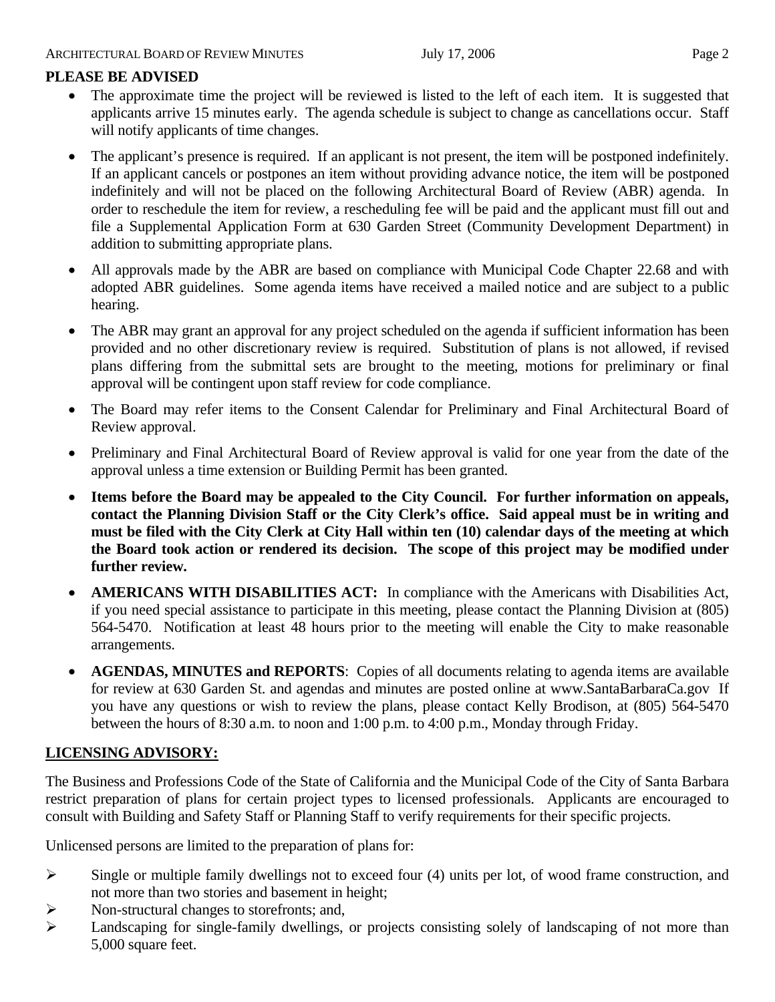# **PLEASE BE ADVISED**

- The approximate time the project will be reviewed is listed to the left of each item. It is suggested that applicants arrive 15 minutes early. The agenda schedule is subject to change as cancellations occur. Staff will notify applicants of time changes.
- The applicant's presence is required. If an applicant is not present, the item will be postponed indefinitely. If an applicant cancels or postpones an item without providing advance notice, the item will be postponed indefinitely and will not be placed on the following Architectural Board of Review (ABR) agenda. In order to reschedule the item for review, a rescheduling fee will be paid and the applicant must fill out and file a Supplemental Application Form at 630 Garden Street (Community Development Department) in addition to submitting appropriate plans.
- All approvals made by the ABR are based on compliance with Municipal Code Chapter 22.68 and with adopted ABR guidelines. Some agenda items have received a mailed notice and are subject to a public hearing.
- The ABR may grant an approval for any project scheduled on the agenda if sufficient information has been provided and no other discretionary review is required. Substitution of plans is not allowed, if revised plans differing from the submittal sets are brought to the meeting, motions for preliminary or final approval will be contingent upon staff review for code compliance.
- The Board may refer items to the Consent Calendar for Preliminary and Final Architectural Board of Review approval.
- Preliminary and Final Architectural Board of Review approval is valid for one year from the date of the approval unless a time extension or Building Permit has been granted.
- **Items before the Board may be appealed to the City Council. For further information on appeals, contact the Planning Division Staff or the City Clerk's office. Said appeal must be in writing and must be filed with the City Clerk at City Hall within ten (10) calendar days of the meeting at which the Board took action or rendered its decision. The scope of this project may be modified under further review.**
- **AMERICANS WITH DISABILITIES ACT:** In compliance with the Americans with Disabilities Act, if you need special assistance to participate in this meeting, please contact the Planning Division at (805) 564-5470. Notification at least 48 hours prior to the meeting will enable the City to make reasonable arrangements.
- **AGENDAS, MINUTES and REPORTS**: Copies of all documents relating to agenda items are available for review at 630 Garden St. and agendas and minutes are posted online at [www.SantaBarbaraCa.gov](http://www.santabarbaraca.gov/) If you have any questions or wish to review the plans, please contact Kelly Brodison, at (805) 564-5470 between the hours of 8:30 a.m. to noon and 1:00 p.m. to 4:00 p.m., Monday through Friday.

# **LICENSING ADVISORY:**

The Business and Professions Code of the State of California and the Municipal Code of the City of Santa Barbara restrict preparation of plans for certain project types to licensed professionals. Applicants are encouraged to consult with Building and Safety Staff or Planning Staff to verify requirements for their specific projects.

Unlicensed persons are limited to the preparation of plans for:

- ¾ Single or multiple family dwellings not to exceed four (4) units per lot, of wood frame construction, and not more than two stories and basement in height;
- ¾ Non-structural changes to storefronts; and,
- ¾ Landscaping for single-family dwellings, or projects consisting solely of landscaping of not more than 5,000 square feet.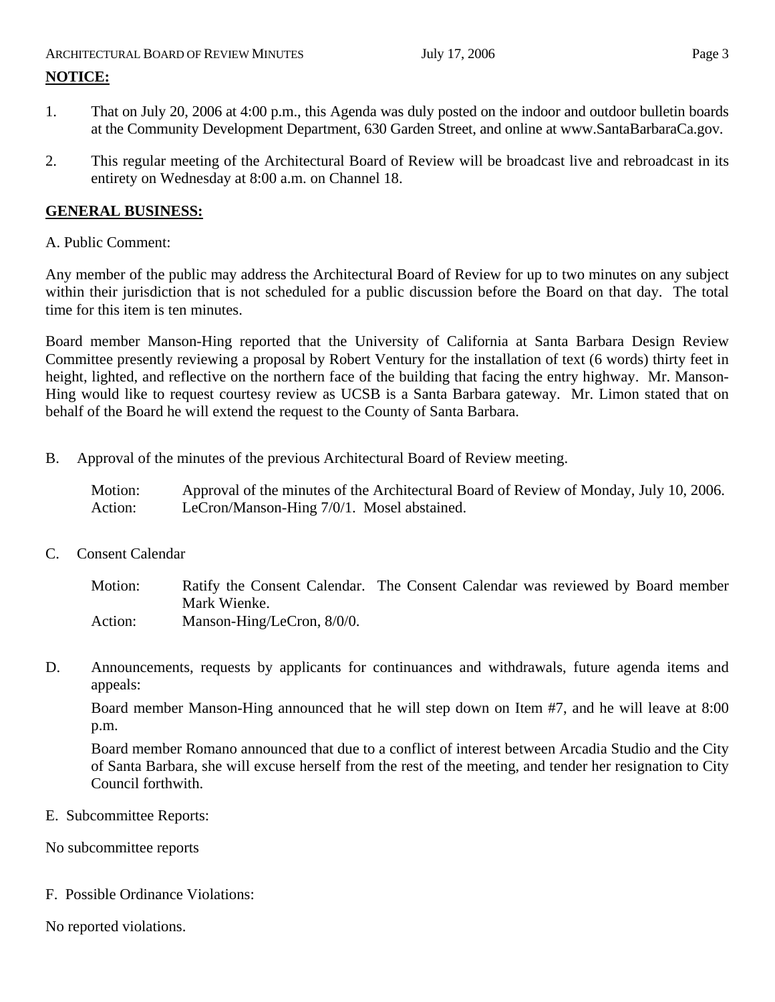# ARCHITECTURAL BOARD OF REVIEW MINUTES July 17, 2006 **Page 3 NOTICE:**

- 1. That on July 20, 2006 at 4:00 p.m., this Agenda was duly posted on the indoor and outdoor bulletin boards at the Community Development Department, 630 Garden Street, and online at www.SantaBarbaraCa.gov.
- 2. This regular meeting of the Architectural Board of Review will be broadcast live and rebroadcast in its entirety on Wednesday at 8:00 a.m. on Channel 18.

## **GENERAL BUSINESS:**

## A. Public Comment:

Any member of the public may address the Architectural Board of Review for up to two minutes on any subject within their jurisdiction that is not scheduled for a public discussion before the Board on that day. The total time for this item is ten minutes.

Board member Manson-Hing reported that the University of California at Santa Barbara Design Review Committee presently reviewing a proposal by Robert Ventury for the installation of text (6 words) thirty feet in height, lighted, and reflective on the northern face of the building that facing the entry highway. Mr. Manson-Hing would like to request courtesy review as UCSB is a Santa Barbara gateway. Mr. Limon stated that on behalf of the Board he will extend the request to the County of Santa Barbara.

B. Approval of the minutes of the previous Architectural Board of Review meeting.

Motion: Approval of the minutes of the Architectural Board of Review of Monday, July 10, 2006. Action: LeCron/Manson-Hing 7/0/1. Mosel abstained.

C. Consent Calendar

Motion: Ratify the Consent Calendar. The Consent Calendar was reviewed by Board member Mark Wienke. Action: Manson-Hing/LeCron, 8/0/0.

D. Announcements, requests by applicants for continuances and withdrawals, future agenda items and appeals:

Board member Manson-Hing announced that he will step down on Item #7, and he will leave at 8:00 p.m.

Board member Romano announced that due to a conflict of interest between Arcadia Studio and the City of Santa Barbara, she will excuse herself from the rest of the meeting, and tender her resignation to City Council forthwith.

E. Subcommittee Reports:

No subcommittee reports

F. Possible Ordinance Violations:

No reported violations.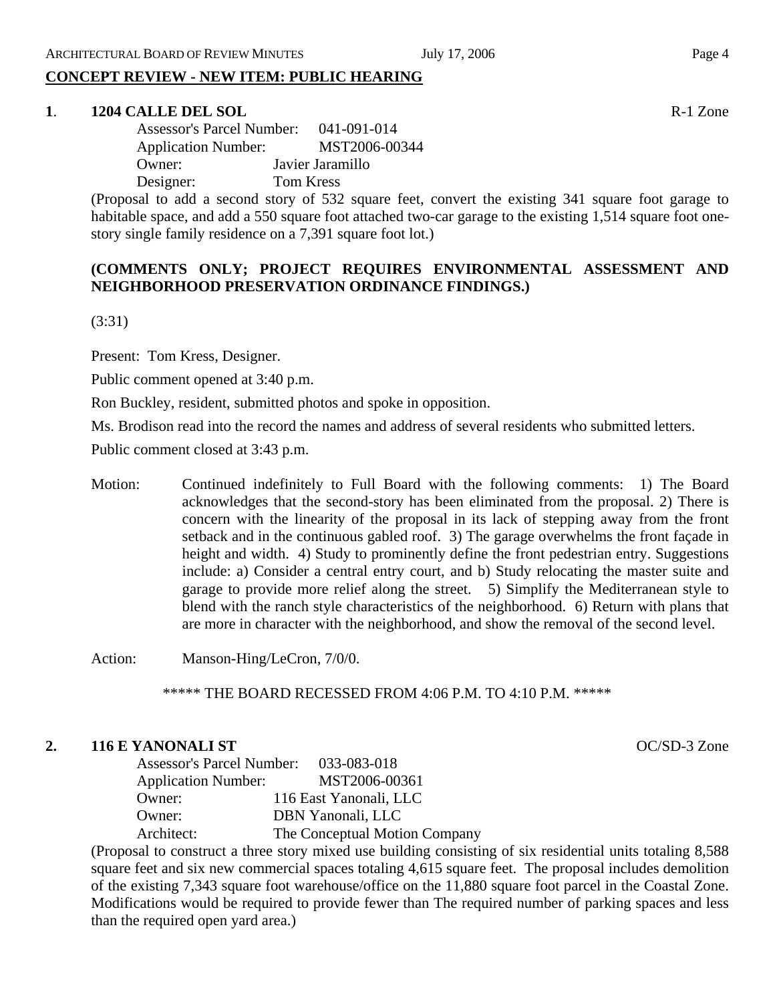## **CONCEPT REVIEW - NEW ITEM: PUBLIC HEARING**

#### **1**. **1204 CALLE DEL SOL** R-1 Zone

| <b>Assessor's Parcel Number:</b> | 041-091-014      |
|----------------------------------|------------------|
| <b>Application Number:</b>       | MST2006-00344    |
| Owner:                           | Javier Jaramillo |
| Designer:                        | Tom Kress        |

(Proposal to add a second story of 532 square feet, convert the existing 341 square foot garage to habitable space, and add a 550 square foot attached two-car garage to the existing 1,514 square foot onestory single family residence on a 7,391 square foot lot.)

#### **(COMMENTS ONLY; PROJECT REQUIRES ENVIRONMENTAL ASSESSMENT AND NEIGHBORHOOD PRESERVATION ORDINANCE FINDINGS.)**

(3:31)

Present: Tom Kress, Designer.

Public comment opened at 3:40 p.m.

Ron Buckley, resident, submitted photos and spoke in opposition.

Ms. Brodison read into the record the names and address of several residents who submitted letters.

Public comment closed at 3:43 p.m.

Motion: Continued indefinitely to Full Board with the following comments: 1) The Board acknowledges that the second-story has been eliminated from the proposal. 2) There is concern with the linearity of the proposal in its lack of stepping away from the front setback and in the continuous gabled roof. 3) The garage overwhelms the front façade in height and width. 4) Study to prominently define the front pedestrian entry. Suggestions include: a) Consider a central entry court, and b) Study relocating the master suite and garage to provide more relief along the street. 5) Simplify the Mediterranean style to blend with the ranch style characteristics of the neighborhood. 6) Return with plans that are more in character with the neighborhood, and show the removal of the second level.

Action: Manson-Hing/LeCron, 7/0/0.

\*\*\*\*\* THE BOARD RECESSED FROM 4:06 P.M. TO 4:10 P.M. \*\*\*\*\*

#### **2. 116 E YANONALI ST** OC/SD-3 Zone

| Assessor's Parcel Number: 033-083-018 |                               |
|---------------------------------------|-------------------------------|
| <b>Application Number:</b>            | MST2006-00361                 |
| Owner:                                | 116 East Yanonali, LLC        |
| Owner:                                | DBN Yanonali, LLC             |
| Architect:                            | The Conceptual Motion Company |

(Proposal to construct a three story mixed use building consisting of six residential units totaling 8,588 square feet and six new commercial spaces totaling 4,615 square feet. The proposal includes demolition of the existing 7,343 square foot warehouse/office on the 11,880 square foot parcel in the Coastal Zone. Modifications would be required to provide fewer than The required number of parking spaces and less than the required open yard area.)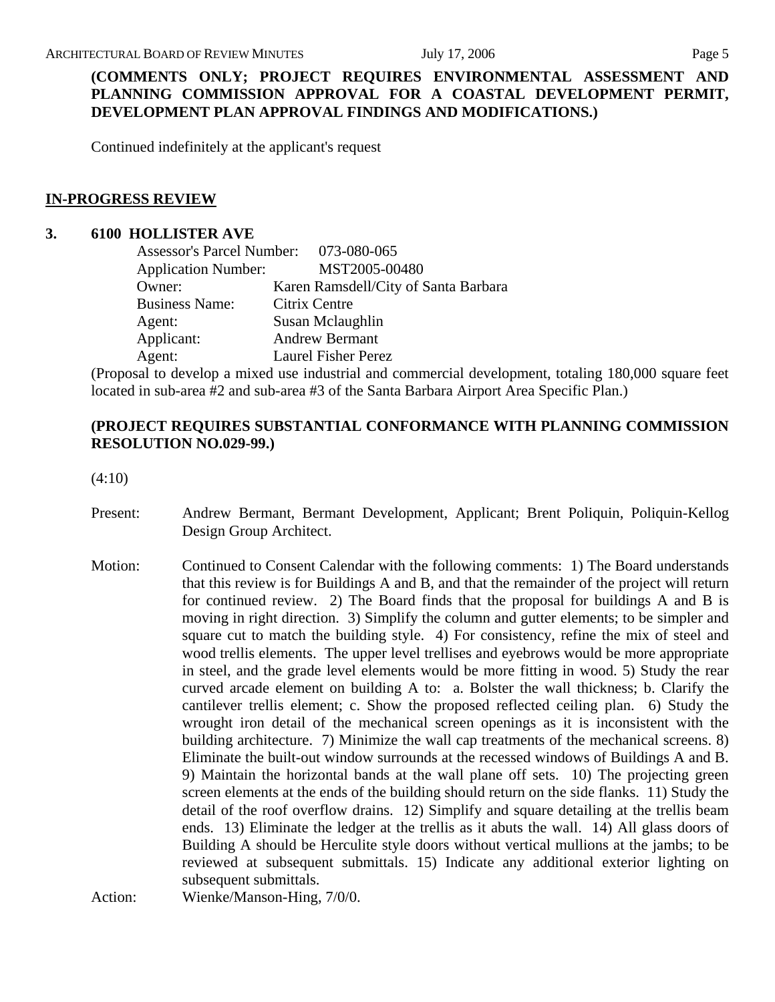# **(COMMENTS ONLY; PROJECT REQUIRES ENVIRONMENTAL ASSESSMENT AND PLANNING COMMISSION APPROVAL FOR A COASTAL DEVELOPMENT PERMIT, DEVELOPMENT PLAN APPROVAL FINDINGS AND MODIFICATIONS.)**

Continued indefinitely at the applicant's request

#### **IN-PROGRESS REVIEW**

#### **3. 6100 HOLLISTER AVE**

| Assessor's Parcel Number: 073-080-065 |                                      |
|---------------------------------------|--------------------------------------|
| <b>Application Number:</b>            | MST2005-00480                        |
| Owner:                                | Karen Ramsdell/City of Santa Barbara |
| <b>Business Name:</b>                 | Citrix Centre                        |
| Agent:                                | Susan Mclaughlin                     |
| Applicant:                            | <b>Andrew Bermant</b>                |
| Agent:                                | <b>Laurel Fisher Perez</b>           |

(Proposal to develop a mixed use industrial and commercial development, totaling 180,000 square feet located in sub-area #2 and sub-area #3 of the Santa Barbara Airport Area Specific Plan.)

## **(PROJECT REQUIRES SUBSTANTIAL CONFORMANCE WITH PLANNING COMMISSION RESOLUTION NO.029-99.)**

(4:10)

- Present: Andrew Bermant, Bermant Development, Applicant; Brent Poliquin, Poliquin-Kellog Design Group Architect.
- Motion: Continued to Consent Calendar with the following comments: 1) The Board understands that this review is for Buildings A and B, and that the remainder of the project will return for continued review. 2) The Board finds that the proposal for buildings A and B is moving in right direction. 3) Simplify the column and gutter elements; to be simpler and square cut to match the building style. 4) For consistency, refine the mix of steel and wood trellis elements. The upper level trellises and eyebrows would be more appropriate in steel, and the grade level elements would be more fitting in wood. 5) Study the rear curved arcade element on building A to: a. Bolster the wall thickness; b. Clarify the cantilever trellis element; c. Show the proposed reflected ceiling plan. 6) Study the wrought iron detail of the mechanical screen openings as it is inconsistent with the building architecture. 7) Minimize the wall cap treatments of the mechanical screens. 8) Eliminate the built-out window surrounds at the recessed windows of Buildings A and B. 9) Maintain the horizontal bands at the wall plane off sets. 10) The projecting green screen elements at the ends of the building should return on the side flanks. 11) Study the detail of the roof overflow drains. 12) Simplify and square detailing at the trellis beam ends. 13) Eliminate the ledger at the trellis as it abuts the wall. 14) All glass doors of Building A should be Herculite style doors without vertical mullions at the jambs; to be reviewed at subsequent submittals. 15) Indicate any additional exterior lighting on subsequent submittals.

Action: Wienke/Manson-Hing, 7/0/0.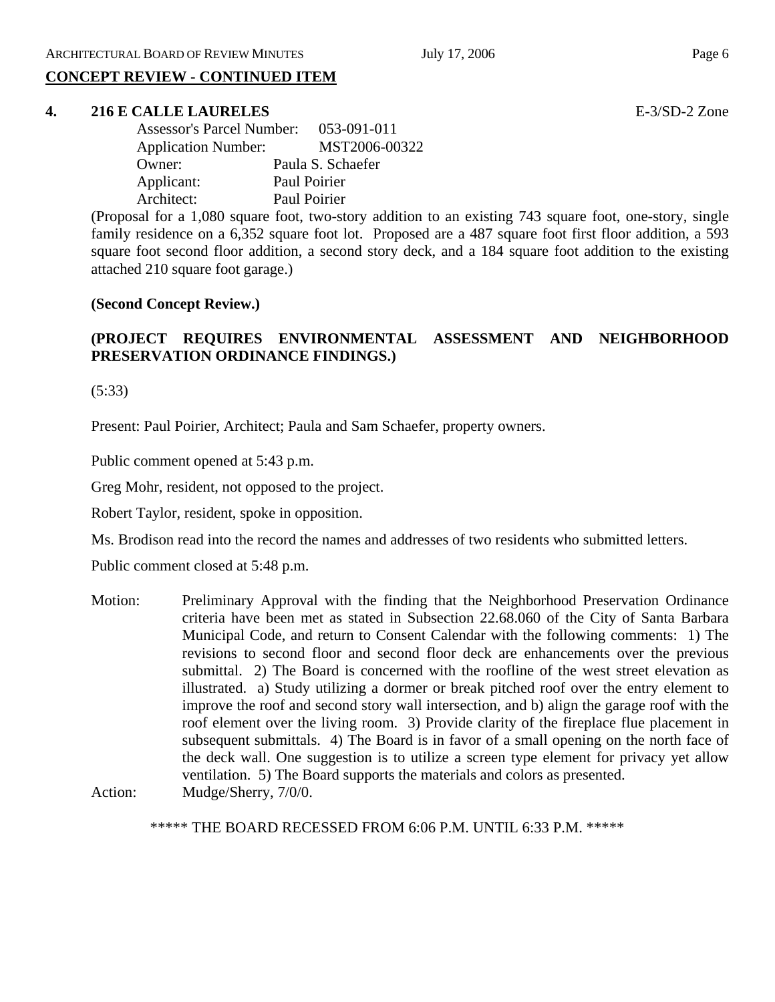# **CONCEPT REVIEW - CONTINUED ITEM**

#### **4. 216 E CALLE LAURELES** E-3/SD-2 Zone

| <b>Assessor's Parcel Number:</b> | 053-091-011       |
|----------------------------------|-------------------|
| <b>Application Number:</b>       | MST2006-00322     |
| Owner:                           | Paula S. Schaefer |
| Applicant:                       | Paul Poirier      |
| Architect:                       | Paul Poirier      |

(Proposal for a 1,080 square foot, two-story addition to an existing 743 square foot, one-story, single family residence on a 6,352 square foot lot. Proposed are a 487 square foot first floor addition, a 593 square foot second floor addition, a second story deck, and a 184 square foot addition to the existing attached 210 square foot garage.)

#### **(Second Concept Review.)**

## **(PROJECT REQUIRES ENVIRONMENTAL ASSESSMENT AND NEIGHBORHOOD PRESERVATION ORDINANCE FINDINGS.)**

(5:33)

Present: Paul Poirier, Architect; Paula and Sam Schaefer, property owners.

Public comment opened at 5:43 p.m.

Greg Mohr, resident, not opposed to the project.

Robert Taylor, resident, spoke in opposition.

Ms. Brodison read into the record the names and addresses of two residents who submitted letters.

Public comment closed at 5:48 p.m.

Motion: Preliminary Approval with the finding that the Neighborhood Preservation Ordinance criteria have been met as stated in Subsection 22.68.060 of the City of Santa Barbara Municipal Code, and return to Consent Calendar with the following comments: 1) The revisions to second floor and second floor deck are enhancements over the previous submittal. 2) The Board is concerned with the roofline of the west street elevation as illustrated. a) Study utilizing a dormer or break pitched roof over the entry element to improve the roof and second story wall intersection, and b) align the garage roof with the roof element over the living room. 3) Provide clarity of the fireplace flue placement in subsequent submittals. 4) The Board is in favor of a small opening on the north face of the deck wall. One suggestion is to utilize a screen type element for privacy yet allow ventilation. 5) The Board supports the materials and colors as presented. Action: Mudge/Sherry, 7/0/0.

\*\*\*\*\* THE BOARD RECESSED FROM 6:06 P.M. UNTIL 6:33 P.M. \*\*\*\*\*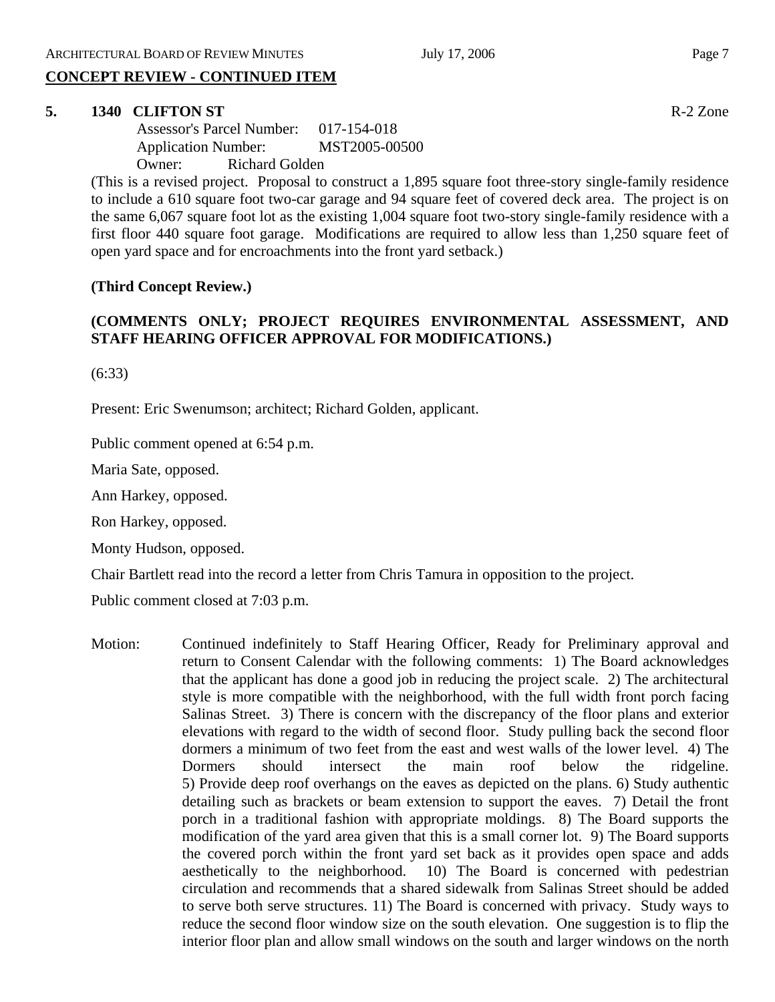# **CONCEPT REVIEW - CONTINUED ITEM**

#### **5. 1340 CLIFTON ST** R-2 Zone

| Assessor's Parcel Number:  | 017-154-018   |
|----------------------------|---------------|
| <b>Application Number:</b> | MST2005-00500 |
| Richard Golden<br>Owner:   |               |

(This is a revised project. Proposal to construct a 1,895 square foot three-story single-family residence to include a 610 square foot two-car garage and 94 square feet of covered deck area. The project is on the same 6,067 square foot lot as the existing 1,004 square foot two-story single-family residence with a first floor 440 square foot garage. Modifications are required to allow less than 1,250 square feet of open yard space and for encroachments into the front yard setback.)

## **(Third Concept Review.)**

## **(COMMENTS ONLY; PROJECT REQUIRES ENVIRONMENTAL ASSESSMENT, AND STAFF HEARING OFFICER APPROVAL FOR MODIFICATIONS.)**

(6:33)

Present: Eric Swenumson; architect; Richard Golden, applicant.

Public comment opened at 6:54 p.m.

Maria Sate, opposed.

Ann Harkey, opposed.

Ron Harkey, opposed.

Monty Hudson, opposed.

Chair Bartlett read into the record a letter from Chris Tamura in opposition to the project.

Public comment closed at 7:03 p.m.

Motion: Continued indefinitely to Staff Hearing Officer, Ready for Preliminary approval and return to Consent Calendar with the following comments: 1) The Board acknowledges that the applicant has done a good job in reducing the project scale. 2) The architectural style is more compatible with the neighborhood, with the full width front porch facing Salinas Street. 3) There is concern with the discrepancy of the floor plans and exterior elevations with regard to the width of second floor. Study pulling back the second floor dormers a minimum of two feet from the east and west walls of the lower level. 4) The Dormers should intersect the main roof below the ridgeline. 5) Provide deep roof overhangs on the eaves as depicted on the plans. 6) Study authentic detailing such as brackets or beam extension to support the eaves. 7) Detail the front porch in a traditional fashion with appropriate moldings. 8) The Board supports the modification of the yard area given that this is a small corner lot. 9) The Board supports the covered porch within the front yard set back as it provides open space and adds aesthetically to the neighborhood. 10) The Board is concerned with pedestrian circulation and recommends that a shared sidewalk from Salinas Street should be added to serve both serve structures. 11) The Board is concerned with privacy. Study ways to reduce the second floor window size on the south elevation. One suggestion is to flip the interior floor plan and allow small windows on the south and larger windows on the north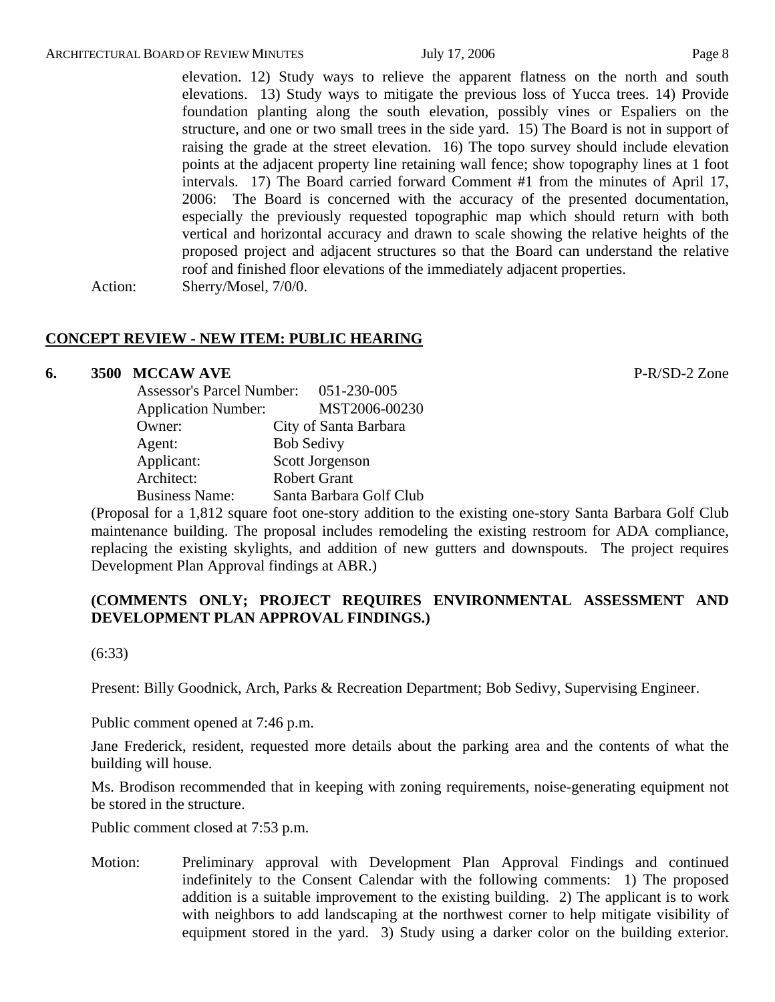elevation. 12) Study ways to relieve the apparent flatness on the north and south elevations. 13) Study ways to mitigate the previous loss of Yucca trees. 14) Provide foundation planting along the south elevation, possibly vines or Espaliers on the structure, and one or two small trees in the side yard. 15) The Board is not in support of raising the grade at the street elevation. 16) The topo survey should include elevation points at the adjacent property line retaining wall fence; show topography lines at 1 foot intervals. 17) The Board carried forward Comment #1 from the minutes of April 17, 2006: The Board is concerned with the accuracy of the presented documentation, especially the previously requested topographic map which should return with both vertical and horizontal accuracy and drawn to scale showing the relative heights of the proposed project and adjacent structures so that the Board can understand the relative roof and finished floor elevations of the immediately adjacent properties. Action: Sherry/Mosel, 7/0/0.

#### **CONCEPT REVIEW - NEW ITEM: PUBLIC HEARING**

#### **6. 3500 MCCAW AVE P-R/SD-2 Zone**

| <b>Assessor's Parcel Number:</b> | 051-230-005             |
|----------------------------------|-------------------------|
| <b>Application Number:</b>       | MST2006-00230           |
| Owner:                           | City of Santa Barbara   |
| Agent:                           | <b>Bob Sedivy</b>       |
| Applicant:                       | Scott Jorgenson         |
| Architect:                       | <b>Robert Grant</b>     |
| <b>Business Name:</b>            | Santa Barbara Golf Club |

(Proposal for a 1,812 square foot one-story addition to the existing one-story Santa Barbara Golf Club maintenance building. The proposal includes remodeling the existing restroom for ADA compliance, replacing the existing skylights, and addition of new gutters and downspouts. The project requires Development Plan Approval findings at ABR.)

## **(COMMENTS ONLY; PROJECT REQUIRES ENVIRONMENTAL ASSESSMENT AND DEVELOPMENT PLAN APPROVAL FINDINGS.)**

(6:33)

Present: Billy Goodnick, Arch, Parks & Recreation Department; Bob Sedivy, Supervising Engineer.

Public comment opened at 7:46 p.m.

Jane Frederick, resident, requested more details about the parking area and the contents of what the building will house.

Ms. Brodison recommended that in keeping with zoning requirements, noise-generating equipment not be stored in the structure.

Public comment closed at 7:53 p.m.

Motion: Preliminary approval with Development Plan Approval Findings and continued indefinitely to the Consent Calendar with the following comments: 1) The proposed addition is a suitable improvement to the existing building. 2) The applicant is to work with neighbors to add landscaping at the northwest corner to help mitigate visibility of equipment stored in the yard. 3) Study using a darker color on the building exterior.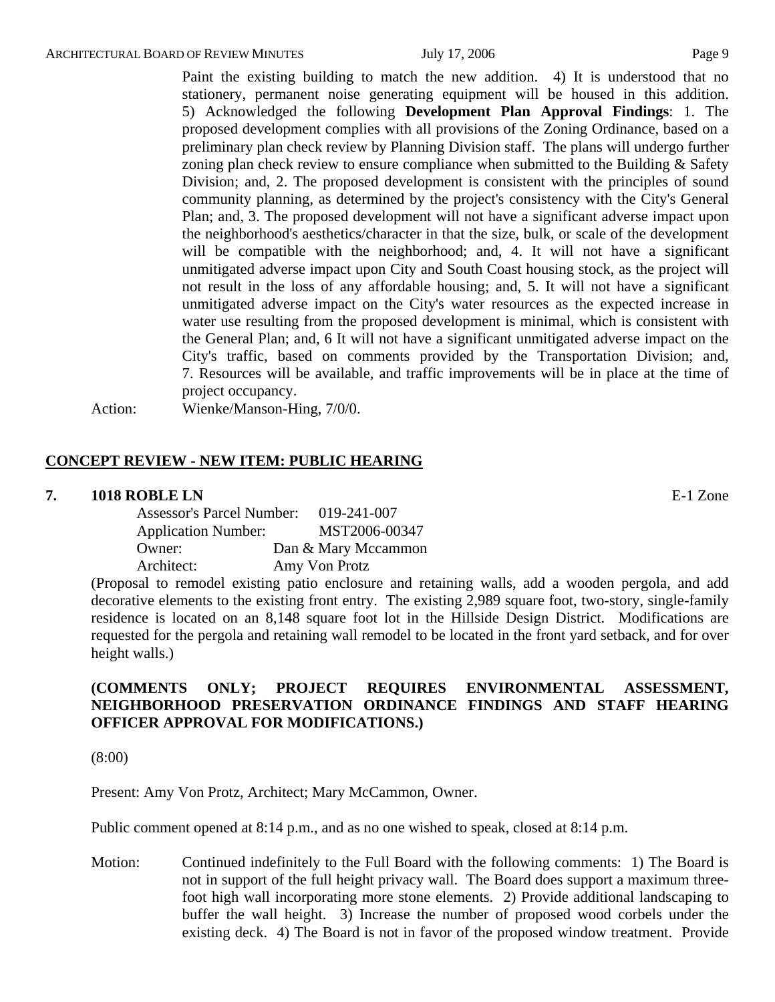Paint the existing building to match the new addition. 4) It is understood that no stationery, permanent noise generating equipment will be housed in this addition. 5) Acknowledged the following **Development Plan Approval Findings**: 1. The proposed development complies with all provisions of the Zoning Ordinance, based on a preliminary plan check review by Planning Division staff. The plans will undergo further zoning plan check review to ensure compliance when submitted to the Building  $\&$  Safety Division; and, 2. The proposed development is consistent with the principles of sound community planning, as determined by the project's consistency with the City's General Plan; and, 3. The proposed development will not have a significant adverse impact upon the neighborhood's aesthetics/character in that the size, bulk, or scale of the development will be compatible with the neighborhood; and, 4. It will not have a significant unmitigated adverse impact upon City and South Coast housing stock, as the project will not result in the loss of any affordable housing; and, 5. It will not have a significant unmitigated adverse impact on the City's water resources as the expected increase in water use resulting from the proposed development is minimal, which is consistent with the General Plan; and, 6 It will not have a significant unmitigated adverse impact on the City's traffic, based on comments provided by the Transportation Division; and, 7. Resources will be available, and traffic improvements will be in place at the time of project occupancy.

Action: Wienke/Manson-Hing, 7/0/0.

#### **CONCEPT REVIEW - NEW ITEM: PUBLIC HEARING**

#### **7. 1018 ROBLE LN** E-1 Zone

| <b>Assessor's Parcel Number:</b> | 019-241-007         |
|----------------------------------|---------------------|
| <b>Application Number:</b>       | MST2006-00347       |
| Owner:                           | Dan & Mary Mccammon |
| Architect:                       | Amy Von Protz       |

(Proposal to remodel existing patio enclosure and retaining walls, add a wooden pergola, and add decorative elements to the existing front entry. The existing 2,989 square foot, two-story, single-family residence is located on an 8,148 square foot lot in the Hillside Design District. Modifications are requested for the pergola and retaining wall remodel to be located in the front yard setback, and for over height walls.)

## **(COMMENTS ONLY; PROJECT REQUIRES ENVIRONMENTAL ASSESSMENT, NEIGHBORHOOD PRESERVATION ORDINANCE FINDINGS AND STAFF HEARING OFFICER APPROVAL FOR MODIFICATIONS.)**

(8:00)

Present: Amy Von Protz, Architect; Mary McCammon, Owner.

Public comment opened at 8:14 p.m., and as no one wished to speak, closed at 8:14 p.m.

Motion: Continued indefinitely to the Full Board with the following comments: 1) The Board is not in support of the full height privacy wall. The Board does support a maximum threefoot high wall incorporating more stone elements. 2) Provide additional landscaping to buffer the wall height. 3) Increase the number of proposed wood corbels under the existing deck. 4) The Board is not in favor of the proposed window treatment. Provide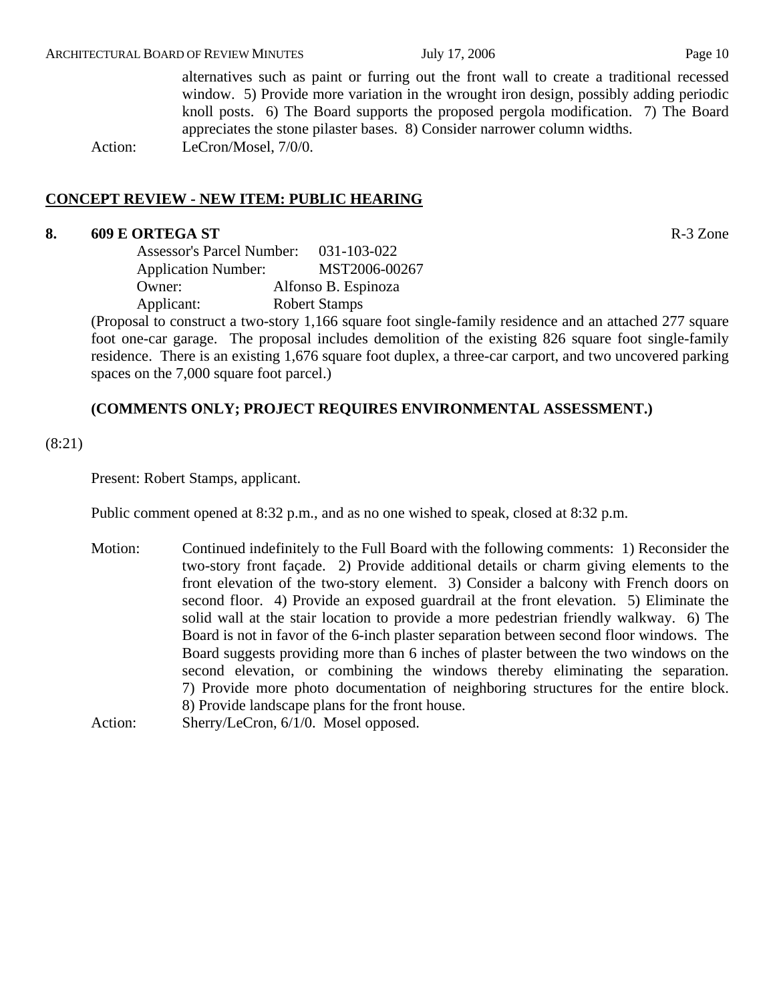alternatives such as paint or furring out the front wall to create a traditional recessed window. 5) Provide more variation in the wrought iron design, possibly adding periodic knoll posts. 6) The Board supports the proposed pergola modification. 7) The Board appreciates the stone pilaster bases. 8) Consider narrower column widths. Action: LeCron/Mosel, 7/0/0.

## **CONCEPT REVIEW - NEW ITEM: PUBLIC HEARING**

#### **8. 609 E ORTEGA ST** R-3 Zone

| <b>Assessor's Parcel Number:</b> | 031-103-022          |
|----------------------------------|----------------------|
| <b>Application Number:</b>       | MST2006-00267        |
| Owner:                           | Alfonso B. Espinoza  |
| Applicant:                       | <b>Robert Stamps</b> |

(Proposal to construct a two-story 1,166 square foot single-family residence and an attached 277 square foot one-car garage. The proposal includes demolition of the existing 826 square foot single-family residence. There is an existing 1,676 square foot duplex, a three-car carport, and two uncovered parking spaces on the 7,000 square foot parcel.)

## **(COMMENTS ONLY; PROJECT REQUIRES ENVIRONMENTAL ASSESSMENT.)**

(8:21)

Present: Robert Stamps, applicant.

Public comment opened at 8:32 p.m., and as no one wished to speak, closed at 8:32 p.m.

Motion: Continued indefinitely to the Full Board with the following comments: 1) Reconsider the two-story front façade. 2) Provide additional details or charm giving elements to the front elevation of the two-story element. 3) Consider a balcony with French doors on second floor. 4) Provide an exposed guardrail at the front elevation. 5) Eliminate the solid wall at the stair location to provide a more pedestrian friendly walkway. 6) The Board is not in favor of the 6-inch plaster separation between second floor windows. The Board suggests providing more than 6 inches of plaster between the two windows on the second elevation, or combining the windows thereby eliminating the separation. 7) Provide more photo documentation of neighboring structures for the entire block. 8) Provide landscape plans for the front house. Action: Sherry/LeCron, 6/1/0. Mosel opposed.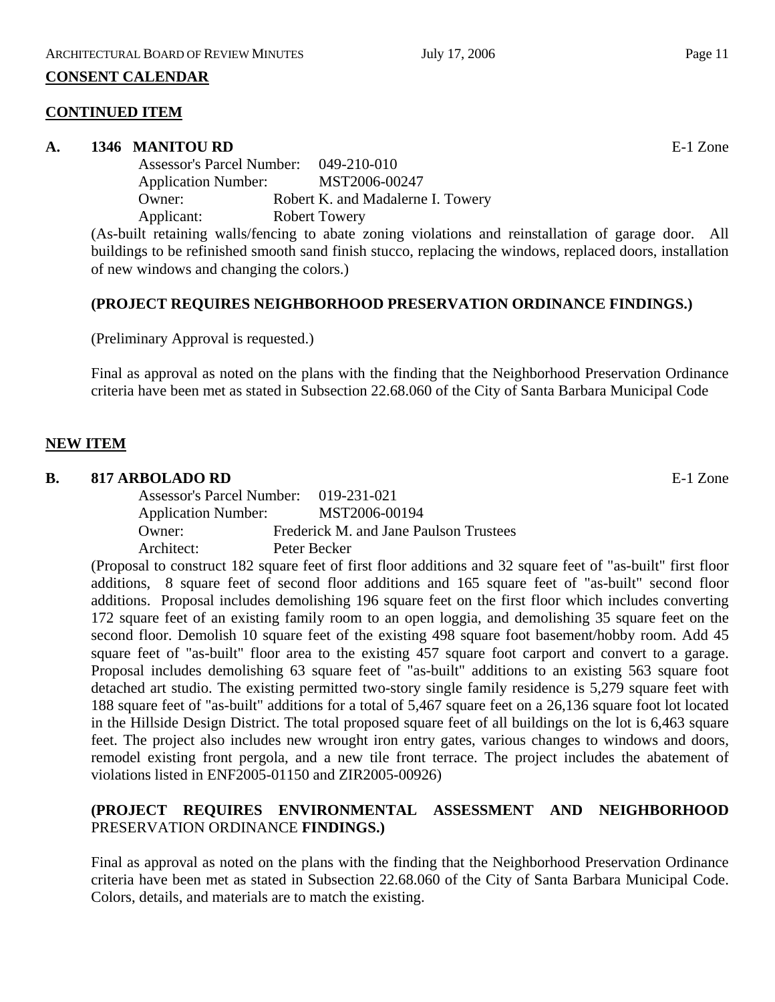#### **CONSENT CALENDAR**

#### **CONTINUED ITEM**

#### **A. 1346 MANITOU RD** E-1 Zone

Assessor's Parcel Number: 049-210-010 Application Number: MST2006-00247 Owner: Robert K. and Madalerne I. Towery Applicant: Robert Towery

(As-built retaining walls/fencing to abate zoning violations and reinstallation of garage door. All buildings to be refinished smooth sand finish stucco, replacing the windows, replaced doors, installation of new windows and changing the colors.)

## **(PROJECT REQUIRES NEIGHBORHOOD PRESERVATION ORDINANCE FINDINGS.)**

(Preliminary Approval is requested.)

Final as approval as noted on the plans with the finding that the Neighborhood Preservation Ordinance criteria have been met as stated in Subsection 22.68.060 of the City of Santa Barbara Municipal Code

## **NEW ITEM**

#### **B. 817 ARBOLADO RD** E-1 Zone

Assessor's Parcel Number: 019-231-021 Application Number: MST2006-00194 Owner: Frederick M. and Jane Paulson Trustees Architect: Peter Becker

(Proposal to construct 182 square feet of first floor additions and 32 square feet of "as-built" first floor additions, 8 square feet of second floor additions and 165 square feet of "as-built" second floor additions. Proposal includes demolishing 196 square feet on the first floor which includes converting 172 square feet of an existing family room to an open loggia, and demolishing 35 square feet on the second floor. Demolish 10 square feet of the existing 498 square foot basement/hobby room. Add 45 square feet of "as-built" floor area to the existing 457 square foot carport and convert to a garage. Proposal includes demolishing 63 square feet of "as-built" additions to an existing 563 square foot detached art studio. The existing permitted two-story single family residence is 5,279 square feet with 188 square feet of "as-built" additions for a total of 5,467 square feet on a 26,136 square foot lot located in the Hillside Design District. The total proposed square feet of all buildings on the lot is 6,463 square feet. The project also includes new wrought iron entry gates, various changes to windows and doors, remodel existing front pergola, and a new tile front terrace. The project includes the abatement of violations listed in ENF2005-01150 and ZIR2005-00926)

## **(PROJECT REQUIRES ENVIRONMENTAL ASSESSMENT AND NEIGHBORHOOD** PRESERVATION ORDINANCE **FINDINGS.)**

Final as approval as noted on the plans with the finding that the Neighborhood Preservation Ordinance criteria have been met as stated in Subsection 22.68.060 of the City of Santa Barbara Municipal Code. Colors, details, and materials are to match the existing.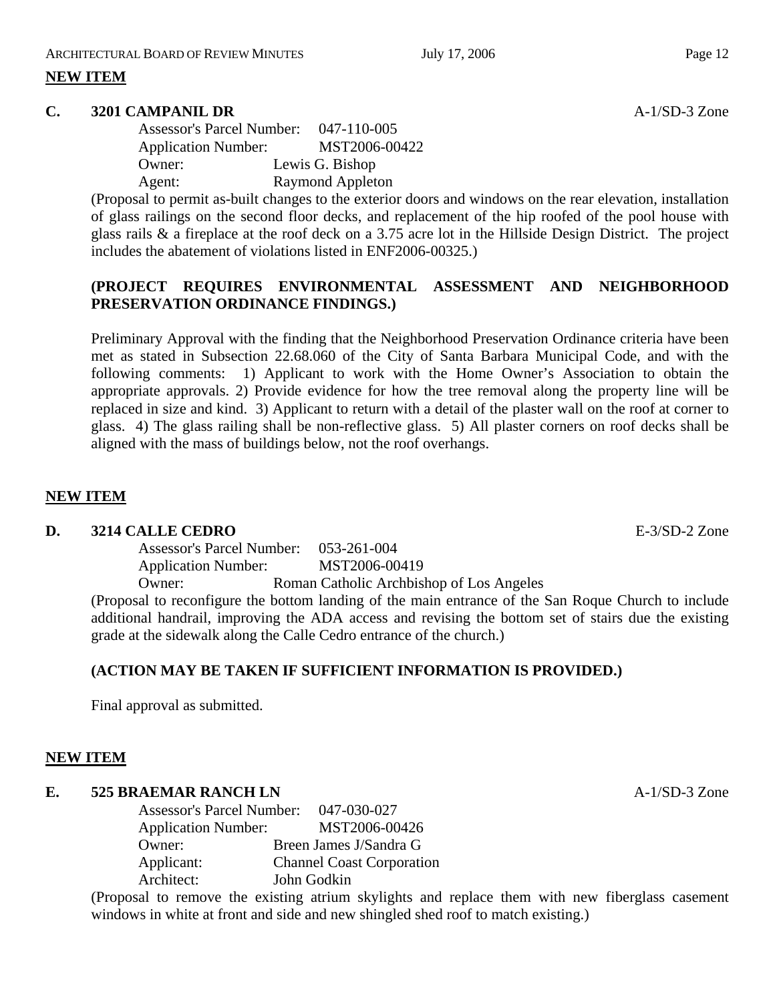## **NEW ITEM**

#### **C. 3201 CAMPANIL DR A-1/SD-3 Zone**

Assessor's Parcel Number: 047-110-005 Application Number: MST2006-00422 Owner: Lewis G. Bishop Agent: Raymond Appleton

(Proposal to permit as-built changes to the exterior doors and windows on the rear elevation, installation of glass railings on the second floor decks, and replacement of the hip roofed of the pool house with glass rails & a fireplace at the roof deck on a 3.75 acre lot in the Hillside Design District. The project includes the abatement of violations listed in ENF2006-00325.)

# **(PROJECT REQUIRES ENVIRONMENTAL ASSESSMENT AND NEIGHBORHOOD PRESERVATION ORDINANCE FINDINGS.)**

Preliminary Approval with the finding that the Neighborhood Preservation Ordinance criteria have been met as stated in Subsection 22.68.060 of the City of Santa Barbara Municipal Code, and with the following comments: 1) Applicant to work with the Home Owner's Association to obtain the appropriate approvals. 2) Provide evidence for how the tree removal along the property line will be replaced in size and kind. 3) Applicant to return with a detail of the plaster wall on the roof at corner to glass. 4) The glass railing shall be non-reflective glass. 5) All plaster corners on roof decks shall be aligned with the mass of buildings below, not the roof overhangs.

## **NEW ITEM**

#### **D. 3214 CALLE CEDRO E-3/SD-2 Zone**

Assessor's Parcel Number: 053-261-004 Application Number: MST2006-00419

Owner: Roman Catholic Archbishop of Los Angeles

(Proposal to reconfigure the bottom landing of the main entrance of the San Roque Church to include additional handrail, improving the ADA access and revising the bottom set of stairs due the existing grade at the sidewalk along the Calle Cedro entrance of the church.)

## **(ACTION MAY BE TAKEN IF SUFFICIENT INFORMATION IS PROVIDED.)**

Final approval as submitted.

## **NEW ITEM**

# **E. 525 BRAEMAR RANCH LN** A-1/SD-3 Zone

Assessor's Parcel Number: 047-030-027 Application Number: MST2006-00426 Owner: Breen James J/Sandra G Applicant: Channel Coast Corporation Architect: John Godkin

(Proposal to remove the existing atrium skylights and replace them with new fiberglass casement windows in white at front and side and new shingled shed roof to match existing.)